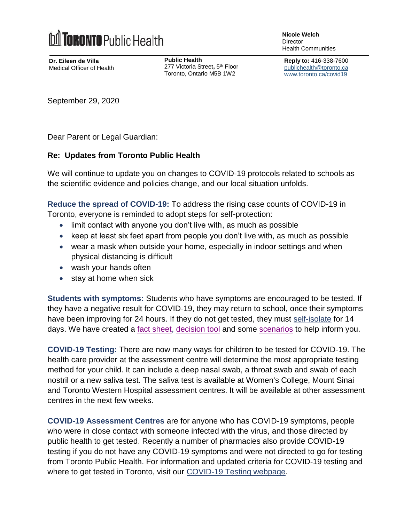

**Dr. Eileen de Villa** Medical Officer of Health **Public Health** 277 Victoria Street**,** 5 th Floor Toronto, Ontario M5B 1W2

**Nicole Welch Director** Health Communities

**Reply to:** 416-338-7600 [publichealth@toronto.ca](mailto:publichealth@toronto.ca) [www.toronto.ca/covid19](http://www.toronto.ca/covid19)

September 29, 2020

Dear Parent or Legal Guardian:

## **Re: Updates from Toronto Public Health**

We will continue to update you on changes to COVID-19 protocols related to schools as the scientific evidence and policies change, and our local situation unfolds.

**Reduce the spread of COVID-19:** To address the rising case counts of COVID-19 in Toronto, everyone is reminded to adopt steps for self-protection:

- limit contact with anyone you don't live with, as much as possible
- $\bullet$  keep at least six feet apart from people you don't live with, as much as possible
- wear a mask when outside your home, especially in indoor settings and when physical distancing is difficult
- wash your hands often
- stay at home when sick

**Students with symptoms:** Students who have symptoms are encouraged to be tested. If they have a negative result for COVID-19, they may return to school, once their symptoms have been improving for 24 hours. If they do not get tested, they must [self-isolate](https://www.publichealthontario.ca/-/media/documents/ncov/factsheet-covid-19-how-to-self-isolate.pdf?la=en) for 14 days. We have created a [fact sheet,](https://www.toronto.ca/wp-content/uploads/2020/09/901a-What-to-do-if-your-child-has-Covid-19-Symptoms.pdf) [decision tool](https://www.toronto.ca/wp-content/uploads/2020/09/9858-COVID-19-Decision-Guide-for-Schools.pdf) and some [scenarios](https://www.toronto.ca/wp-content/uploads/2020/09/86cb-COVID-19-School-Scenarios.pdf) to help inform you.

**COVID-19 Testing:** There are now many ways for children to be tested for COVID-19. The health care provider at the assessment centre will determine the most appropriate testing method for your child. It can include a deep nasal swab, a throat swab and swab of each nostril or a new saliva test. The saliva test is available at Women's College, Mount Sinai and Toronto Western Hospital assessment centres. It will be available at other assessment centres in the next few weeks.

**COVID-19 Assessment Centres** are for anyone who has COVID-19 symptoms, people who were in close contact with someone infected with the virus, and those directed by public health to get tested. Recently a number of pharmacies also provide COVID-19 testing if you do not have any COVID-19 symptoms and were not directed to go for testing from Toronto Public Health. For information and updated criteria for COVID-19 testing and where to get tested in Toronto, visit our [COVID-19 Testing webpage.](https://www.toronto.ca/home/covid-19/covid-19-what-you-should-do/covid-19-have-symptoms-or-been-exposed/covid-19-assessment-centres/)